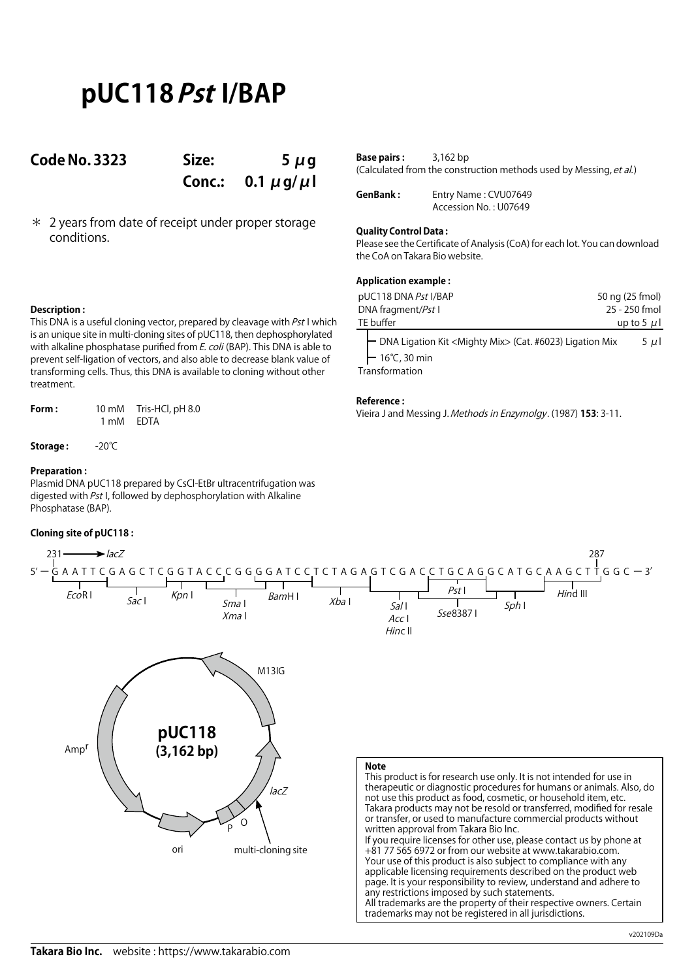# **pUC118 Pst I/BAP**

### **Code No. 3323 Size: 5 μg**

**Conc.: 0.1 μg/μl**

\* 2 years from date of receipt under proper storage conditions.

| <b>Base pairs :</b> | 3,162 bp                                                           |
|---------------------|--------------------------------------------------------------------|
|                     | (Calculated from the construction methods used by Messing, et al.) |

**GenBank :** Entry Name : CVU07649 Accession No. : U07649

### **Quality Control Data :**

Please see the Certificate of Analysis (CoA) for each lot. You can download the CoA on Takara Bio website.

### **Application example :**

| pUC118 DNA Pst I/BAP                                                                                                    | 50 ng (25 fmol) |
|-------------------------------------------------------------------------------------------------------------------------|-----------------|
| DNA fragment/Pst I                                                                                                      | 25 - 250 fmol   |
| TE buffer                                                                                                               | up to 5 $\mu$ l |
| ├ DNA Ligation Kit <mighty mix=""> (Cat. #6023) Ligation Mix<br/><math>-16°C, 30 min</math><br/>Transformation</mighty> | $5 \mu$         |

**Reference :**

Vieira J and Messing J. Methods in Enzymolgy. (1987) **153**: 3-11.



**Description :** This DNA is a useful cloning vector, prepared by cleavage with  $Pst$  I which is an unique site in multi-cloning sites of pUC118, then dephosphorylated with alkaline phosphatase purified from E. coli (BAP). This DNA is able to prevent self-ligation of vectors, and also able to decrease blank value of transforming cells. Thus, this DNA is available to cloning without other treatment.

**Form :** 10 mM Tris-HCl, pH 8.0 1 mM EDTA

**Storage :** -20℃

### **Preparation :**

Plasmid DNA pUC118 prepared by CsCl-EtBr ultracentrifugation was digested with Pst I, followed by dephosphorylation with Alkaline Phosphatase (BAP).

### **Cloning site of pUC118 :**